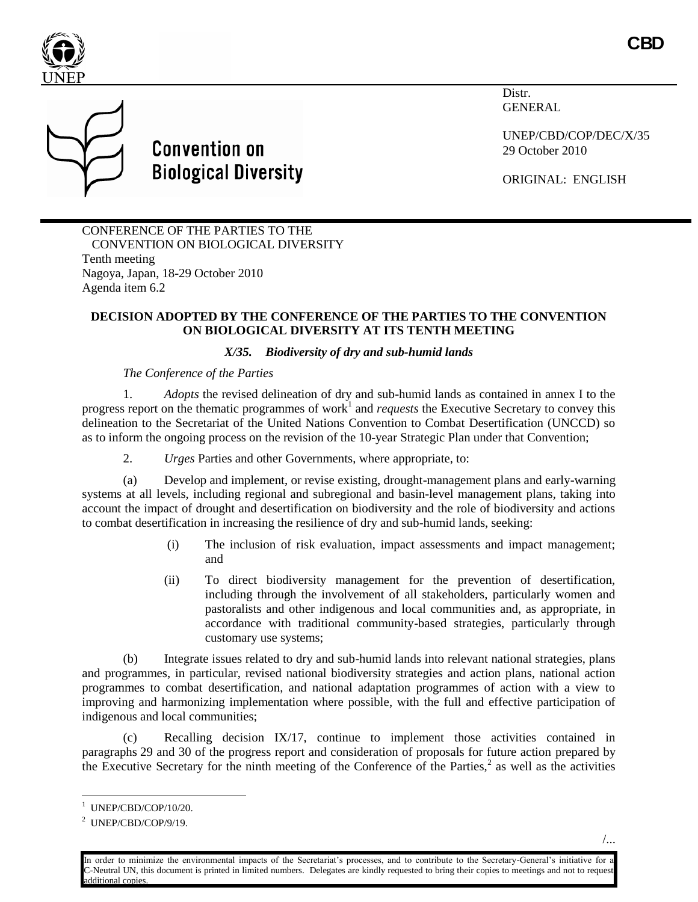



**Convention on Biological Diversity**  Distr. **GENERAL** 

UNEP/CBD/COP/DEC/X/35 29 October 2010

ORIGINAL: ENGLISH

CONFERENCE OF THE PARTIES TO THE CONVENTION ON BIOLOGICAL DIVERSITY Tenth meeting Nagoya, Japan, 18-29 October 2010 Agenda item 6.2

## **DECISION ADOPTED BY THE CONFERENCE OF THE PARTIES TO THE CONVENTION ON BIOLOGICAL DIVERSITY AT ITS TENTH MEETING**

## *X/35. Biodiversity of dry and sub-humid lands*

*The Conference of the Parties* 

1. *Adopts* the revised delineation of dry and sub-humid lands as contained in annex I to the progress report on the thematic programmes of work<sup>1</sup> and *requests* the Executive Secretary to convey this delineation to the Secretariat of the United Nations Convention to Combat Desertification (UNCCD) so as to inform the ongoing process on the revision of the 10-year Strategic Plan under that Convention;

2. *Urges* Parties and other Governments, where appropriate, to:

(a) Develop and implement, or revise existing, drought-management plans and early-warning systems at all levels, including regional and subregional and basin-level management plans, taking into account the impact of drought and desertification on biodiversity and the role of biodiversity and actions to combat desertification in increasing the resilience of dry and sub-humid lands, seeking:

- (i) The inclusion of risk evaluation, impact assessments and impact management; and
- (ii) To direct biodiversity management for the prevention of desertification, including through the involvement of all stakeholders, particularly women and pastoralists and other indigenous and local communities and, as appropriate, in accordance with traditional community-based strategies, particularly through customary use systems;

(b) Integrate issues related to dry and sub-humid lands into relevant national strategies, plans and programmes, in particular, revised national biodiversity strategies and action plans, national action programmes to combat desertification, and national adaptation programmes of action with a view to improving and harmonizing implementation where possible, with the full and effective participation of indigenous and local communities;

(c) Recalling decision IX/17, continue to implement those activities contained in paragraphs 29 and 30 of the progress report and consideration of proposals for future action prepared by the Executive Secretary for the ninth meeting of the Conference of the Parties, $\frac{2}{3}$  as well as the activities

 $\overline{a}$ 

<sup>1</sup> UNEP/CBD/COP/10/20.

<sup>&</sup>lt;sup>2</sup> UNEP/CBD/COP/9/19.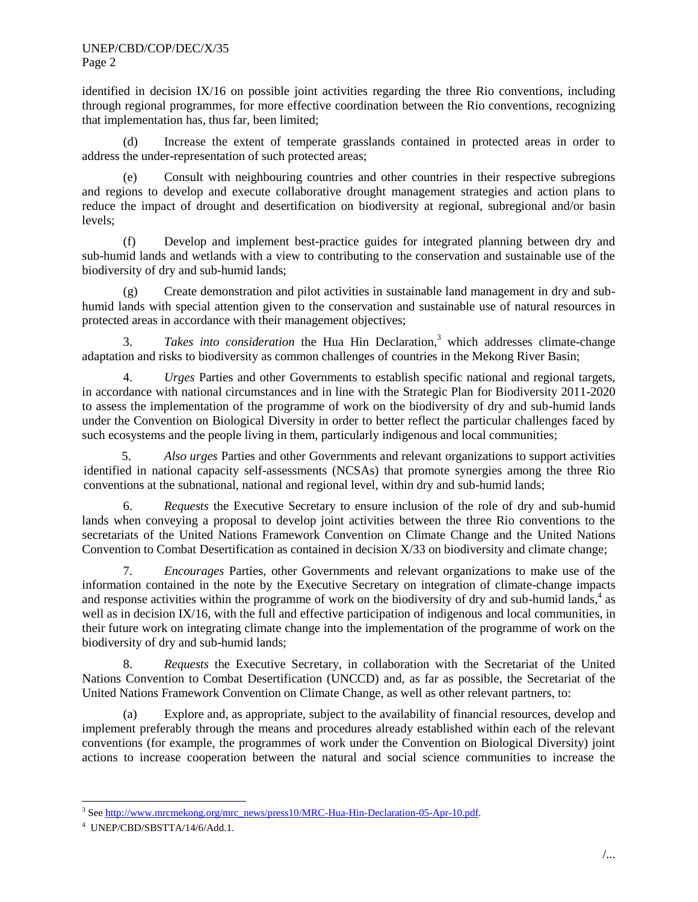identified in decision IX/16 on possible joint activities regarding the three Rio conventions, including through regional programmes, for more effective coordination between the Rio conventions, recognizing that implementation has, thus far, been limited;

(d) Increase the extent of temperate grasslands contained in protected areas in order to address the under-representation of such protected areas;

(e) Consult with neighbouring countries and other countries in their respective subregions and regions to develop and execute collaborative drought management strategies and action plans to reduce the impact of drought and desertification on biodiversity at regional, subregional and/or basin levels;

(f) Develop and implement best-practice guides for integrated planning between dry and sub-humid lands and wetlands with a view to contributing to the conservation and sustainable use of the biodiversity of dry and sub-humid lands;

(g) Create demonstration and pilot activities in sustainable land management in dry and subhumid lands with special attention given to the conservation and sustainable use of natural resources in protected areas in accordance with their management objectives;

3. *Takes into consideration* the Hua Hin Declaration,<sup>3</sup> which addresses climate-change adaptation and risks to biodiversity as common challenges of countries in the Mekong River Basin;

4. *Urges* Parties and other Governments to establish specific national and regional targets, in accordance with national circumstances and in line with the Strategic Plan for Biodiversity 2011-2020 to assess the implementation of the programme of work on the biodiversity of dry and sub-humid lands under the Convention on Biological Diversity in order to better reflect the particular challenges faced by such ecosystems and the people living in them, particularly indigenous and local communities;

5. *Also urges* Parties and other Governments and relevant organizations to support activities identified in national capacity self-assessments (NCSAs) that promote synergies among the three Rio conventions at the subnational, national and regional level, within dry and sub-humid lands;

6. *Requests* the Executive Secretary to ensure inclusion of the role of dry and sub-humid lands when conveying a proposal to develop joint activities between the three Rio conventions to the secretariats of the United Nations Framework Convention on Climate Change and the United Nations Convention to Combat Desertification as contained in decision X/33 on biodiversity and climate change;

7. *Encourages* Parties, other Governments and relevant organizations to make use of the information contained in the note by the Executive Secretary on integration of climate-change impacts and response activities within the programme of work on the biodiversity of dry and sub-humid lands,  $4$  as well as in decision IX/16, with the full and effective participation of indigenous and local communities, in their future work on integrating climate change into the implementation of the programme of work on the biodiversity of dry and sub-humid lands;

8. *Requests* the Executive Secretary, in collaboration with the Secretariat of the United Nations Convention to Combat Desertification (UNCCD) and, as far as possible, the Secretariat of the United Nations Framework Convention on Climate Change, as well as other relevant partners, to:

(a) Explore and, as appropriate, subject to the availability of financial resources, develop and implement preferably through the means and procedures already established within each of the relevant conventions (for example, the programmes of work under the Convention on Biological Diversity) joint actions to increase cooperation between the natural and social science communities to increase the

<sup>&</sup>lt;sup>3</sup> See http://www.mrcmekong.org/mrc\_news/press10/MRC-Hua-Hin-Declaration-05-Apr-10.pdf.

<sup>4</sup> UNEP/CBD/SBSTTA/14/6/Add.1.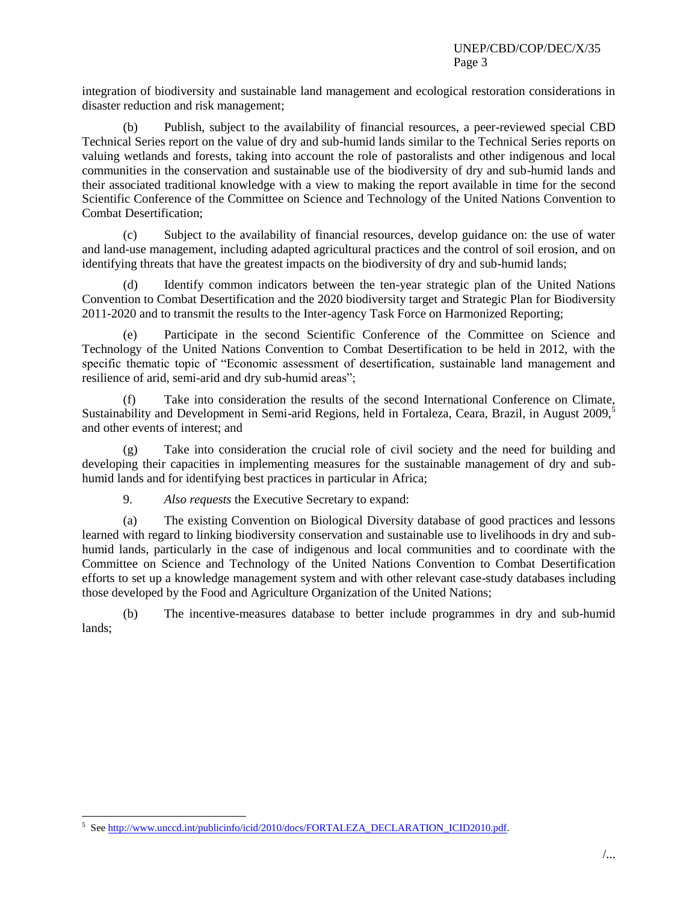integration of biodiversity and sustainable land management and ecological restoration considerations in disaster reduction and risk management;

(b) Publish, subject to the availability of financial resources, a peer-reviewed special CBD Technical Series report on the value of dry and sub-humid lands similar to the Technical Series reports on valuing wetlands and forests, taking into account the role of pastoralists and other indigenous and local communities in the conservation and sustainable use of the biodiversity of dry and sub-humid lands and their associated traditional knowledge with a view to making the report available in time for the second Scientific Conference of the Committee on Science and Technology of the United Nations Convention to Combat Desertification;

(c) Subject to the availability of financial resources, develop guidance on: the use of water and land-use management, including adapted agricultural practices and the control of soil erosion, and on identifying threats that have the greatest impacts on the biodiversity of dry and sub-humid lands;

(d) Identify common indicators between the ten-year strategic plan of the United Nations Convention to Combat Desertification and the 2020 biodiversity target and Strategic Plan for Biodiversity 2011-2020 and to transmit the results to the Inter-agency Task Force on Harmonized Reporting;

(e) Participate in the second Scientific Conference of the Committee on Science and Technology of the United Nations Convention to Combat Desertification to be held in 2012, with the specific thematic topic of "Economic assessment of desertification, sustainable land management and resilience of arid, semi-arid and dry sub-humid areas";

(f) Take into consideration the results of the second International Conference on Climate, Sustainability and Development in Semi-arid Regions, held in Fortaleza, Ceara, Brazil, in August 2009,<sup>5</sup> and other events of interest; and

(g) Take into consideration the crucial role of civil society and the need for building and developing their capacities in implementing measures for the sustainable management of dry and subhumid lands and for identifying best practices in particular in Africa;

9. *Also requests* the Executive Secretary to expand:

(a) The existing Convention on Biological Diversity database of good practices and lessons learned with regard to linking biodiversity conservation and sustainable use to livelihoods in dry and subhumid lands, particularly in the case of indigenous and local communities and to coordinate with the Committee on Science and Technology of the United Nations Convention to Combat Desertification efforts to set up a knowledge management system and with other relevant case-study databases including those developed by the Food and Agriculture Organization of the United Nations;

(b) The incentive-measures database to better include programmes in dry and sub-humid lands;

 $\overline{a}$ 

<sup>&</sup>lt;sup>5</sup> See http://www.unccd.int/publicinfo/icid/2010/docs/FORTALEZA\_DECLARATION\_ICID2010.pdf.